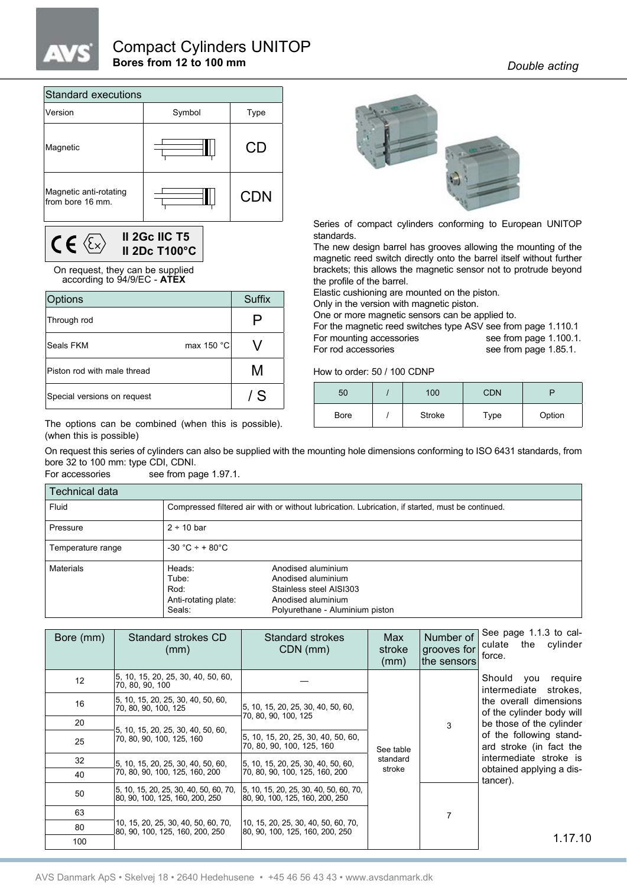

## Compact Cylinders UNITOP **Bores from 12 to 100 mm** *Double acting*

| <b>Standard executions</b>                 |        |            |  |  |  |  |  |  |  |  |
|--------------------------------------------|--------|------------|--|--|--|--|--|--|--|--|
| Version                                    | Symbol | Type       |  |  |  |  |  |  |  |  |
| Magnetic                                   |        | CD         |  |  |  |  |  |  |  |  |
| Magnetic anti-rotating<br>from bore 16 mm. |        | <b>CDN</b> |  |  |  |  |  |  |  |  |

**II 2Gc IIC T5**  $C \in \langle \overline{\mathbb{Z}} \rangle$ **II 2Dc T100°C**

## On request, they can be supplied according to 94/9/EC - **ATEX**

| <b>Options</b>                 | Suffix |
|--------------------------------|--------|
| Through rod                    | ע      |
| max 150 °C<br><b>Seals FKM</b> |        |
| Piston rod with male thread    | M      |
| Special versions on request    | / S    |

The options can be combined (when this is possible). (when this is possible)



Series of compact cylinders conforming to European UNITOP standards.

The new design barrel has grooves allowing the mounting of the magnetic reed switch directly onto the barrel itself without further brackets; this allows the magnetic sensor not to protrude beyond the profile of the barrel.

Elastic cushioning are mounted on the piston.

Only in the version with magnetic piston.

One or more magnetic sensors can be applied to.

For the magnetic reed switches type ASV see from page 1.110.1 For mounting accessories see from page 1.100.1. For rod accessories see from page 1.85.1.

How to order: 50 / 100 CDNP

| 50   | 100    | <b>CDN</b> |        |
|------|--------|------------|--------|
| Bore | Stroke | Type       | Option |

On request this series of cylinders can also be supplied with the mounting hole dimensions conforming to ISO 6431 standards, from bore 32 to 100 mm: type CDI, CDNI.<br>For accessories see from pa

see from page 1.97.1.

| Technical data    |                                                           |                                                                                                                              |
|-------------------|-----------------------------------------------------------|------------------------------------------------------------------------------------------------------------------------------|
| Fluid             |                                                           | Compressed filtered air with or without lubrication. Lubrication, if started, must be continued.                             |
| Pressure          | $2 \div 10$ bar                                           |                                                                                                                              |
| Temperature range | $-30 °C + + 80 °C$                                        |                                                                                                                              |
| <b>Materials</b>  | Heads:<br>Tube:<br>Rod:<br>Anti-rotating plate:<br>Seals: | Anodised aluminium<br>Anodised aluminium<br>Stainless steel AISI303<br>Anodised aluminium<br>Polyurethane - Aluminium piston |

| Bore (mm) | Standard strokes CD<br>(mm)                                                | Standard strokes<br>CDN (mm)                                                 | Max<br>stroke<br>(mm) | Number of<br>grooves for<br>the sensors | See page 1.1.3 to cal-<br>the cylinder<br>culate<br>force. |  |  |
|-----------|----------------------------------------------------------------------------|------------------------------------------------------------------------------|-----------------------|-----------------------------------------|------------------------------------------------------------|--|--|
| 12        | 5, 10, 15, 20, 25, 30, 40, 50, 60,<br>70, 80, 90, 100                      |                                                                              |                       |                                         | Should<br>require<br>you<br>intermediate strokes.          |  |  |
| 16        | 5, 10, 15, 20, 25, 30, 40, 50, 60,<br>70, 80, 90, 100, 125                 | 5, 10, 15, 20, 25, 30, 40, 50, 60,<br>70, 80, 90, 100, 125                   |                       |                                         | the overall dimensions<br>of the cylinder body will        |  |  |
| 20        | 5, 10, 15, 20, 25, 30, 40, 50, 60,                                         |                                                                              |                       | 3                                       | be those of the cylinder                                   |  |  |
| 25        | 70, 80, 90, 100, 125, 160                                                  | 5, 10, 15, 20, 25, 30, 40, 50, 60,<br> 70, 80, 90, 100, 125, 160             | See table             |                                         | of the following stand-<br>ard stroke (in fact the         |  |  |
| 32        | 5, 10, 15, 20, 25, 30, 40, 50, 60,                                         | 5, 10, 15, 20, 25, 30, 40, 50, 60,                                           | standard              |                                         | intermediate stroke is                                     |  |  |
| 40        | 70, 80, 90, 100, 125, 160, 200                                             | 70, 80, 90, 100, 125, 160, 200                                               | stroke                |                                         | obtained applying a dis-<br>tancer).                       |  |  |
| 50        | 5, 10, 15, 20, 25, 30, 40, 50, 60, 70,<br> 80, 90, 100, 125, 160, 200, 250 | $ 5, 10, 15, 20, 25, 30, 40, 50, 60, 70,$<br>80, 90, 100, 125, 160, 200, 250 |                       |                                         |                                                            |  |  |
| 63        |                                                                            |                                                                              |                       | 7                                       |                                                            |  |  |
| 80        | 10, 15, 20, 25, 30, 40, 50, 60, 70,<br>80, 90, 100, 125, 160, 200, 250     | 10, 15, 20, 25, 30, 40, 50, 60, 70,<br> 80, 90, 100, 125, 160, 200, 250      |                       |                                         |                                                            |  |  |
| 100       |                                                                            |                                                                              |                       |                                         | 1.17.10                                                    |  |  |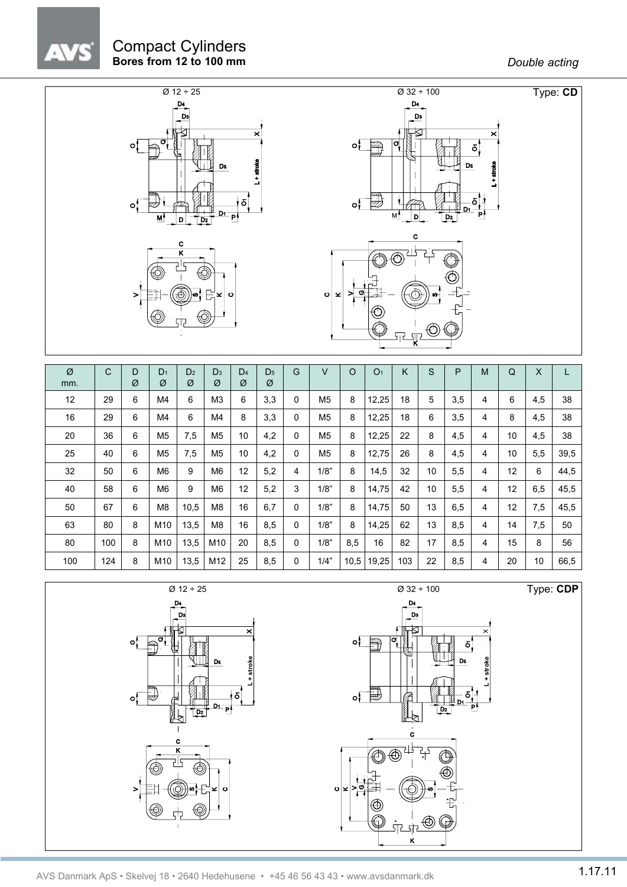$\Delta$ 



| Ø<br>mm. | C   | D<br>Ø | D <sub>1</sub><br>Ø | D <sub>2</sub><br>Ø | D <sub>3</sub><br>Ø | D <sub>4</sub><br>Ø | D <sub>5</sub><br>Ø | G | V              | $\Omega$ | O <sub>1</sub> | Κ   | S  | P   | M | $\Omega$ | $\times$ | L    |
|----------|-----|--------|---------------------|---------------------|---------------------|---------------------|---------------------|---|----------------|----------|----------------|-----|----|-----|---|----------|----------|------|
| 12       | 29  | 6      | M4                  | 6                   | M <sub>3</sub>      | 6                   | 3,3                 | 0 | M <sub>5</sub> | 8        | 12,25          | 18  | 5  | 3,5 | 4 | 6        | 4,5      | 38   |
| 16       | 29  | 6      | M4                  | 6                   | M <sub>4</sub>      | 8                   | 3,3                 | 0 | M <sub>5</sub> | 8        | 12,25          | 18  | 6  | 3,5 | 4 | 8        | 4,5      | 38   |
| 20       | 36  | 6      | M <sub>5</sub>      | 7,5                 | M <sub>5</sub>      | 10                  | 4,2                 | 0 | M <sub>5</sub> | 8        | 12,25          | 22  | 8  | 4,5 | 4 | 10       | 4,5      | 38   |
| 25       | 40  | 6      | M <sub>5</sub>      | 7,5                 | M <sub>5</sub>      | 10                  | 4,2                 | 0 | M <sub>5</sub> | 8        | 12,75          | 26  | 8  | 4,5 | 4 | 10       | 5,5      | 39,5 |
| 32       | 50  | 6      | M6                  | 9                   | M <sub>6</sub>      | 12                  | 5,2                 | 4 | 1/8"           | 8        | 14,5           | 32  | 10 | 5,5 | 4 | 12       | 6        | 44,5 |
| 40       | 58  | 6      | M <sub>6</sub>      | 9                   | M <sub>6</sub>      | 12                  | 5,2                 | 3 | 1/8"           | 8        | 14,75          | 42  | 10 | 5,5 | 4 | 12       | 6,5      | 45,5 |
| 50       | 67  | 6      | M <sub>8</sub>      | 10,5                | M8                  | 16                  | 6,7                 | 0 | 1/8"           | 8        | 14,75          | 50  | 13 | 6,5 | 4 | 12       | 7,5      | 45,5 |
| 63       | 80  | 8      | M10                 | 13,5                | M <sub>8</sub>      | 16                  | 8,5                 | 0 | 1/8"           | 8        | 14,25          | 62  | 13 | 8,5 | 4 | 14       | 7,5      | 50   |
| 80       | 100 | 8      | M10                 | 13,5                | M10                 | 20                  | 8,5                 | 0 | 1/8"           | 8,5      | 16             | 82  | 17 | 8,5 | 4 | 15       | 8        | 56   |
| 100      | 124 | 8      | M10                 | 13,5                | M12                 | 25                  | 8,5                 | 0 | 1/4"           | 10,5     | 19,25          | 103 | 22 | 8,5 | 4 | 20       | 10       | 66,5 |

ċ





Type: **CDP**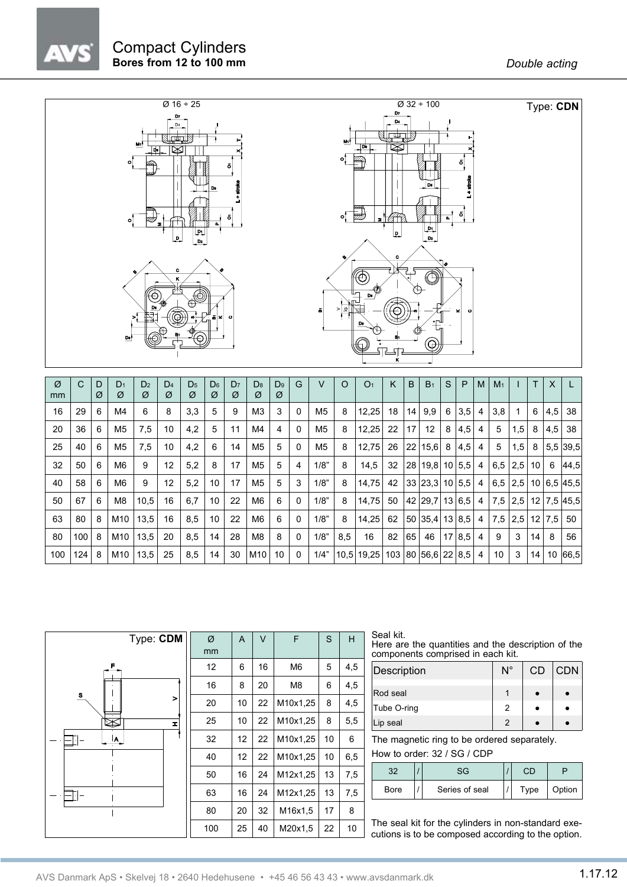

| Ø<br>mm | С   | D<br>Ø | $D_1$<br>Ø      | D <sub>2</sub><br>Ø | D <sub>4</sub><br>Ø | D <sub>5</sub><br>Ø | D <sub>6</sub><br>Ø | D <sub>7</sub><br>Ø | D <sub>8</sub><br>Ø | D <sub>9</sub><br>Ø | G            | V              | $\Omega$ | O <sub>1</sub> | ĸ  | B               | B <sub>1</sub>  | S               | P   | M | M <sub>1</sub> |     | T. | X      |                   |
|---------|-----|--------|-----------------|---------------------|---------------------|---------------------|---------------------|---------------------|---------------------|---------------------|--------------|----------------|----------|----------------|----|-----------------|-----------------|-----------------|-----|---|----------------|-----|----|--------|-------------------|
|         |     |        |                 |                     |                     |                     |                     |                     |                     |                     |              |                |          |                |    |                 |                 |                 |     |   |                |     |    |        |                   |
| 16      | 29  | 6      | M4              | 6                   | 8                   | 3,3                 | 5                   | 9                   | M3                  | 3                   | 0            | M <sub>5</sub> | 8        | 12,25          | 18 | 14              | 9,9             | 6               | 3,5 | 4 | 3,8            |     | 6  | 4,5    | 38                |
| 20      | 36  | 6      | M <sub>5</sub>  | 7,5                 | 10                  | 4,2                 | 5                   | 11                  | M4                  | 4                   | 0            | M <sub>5</sub> | 8        | 12,25          | 22 | 17              | 12              | 8               | 4,5 | 4 | 5              | 1,5 | 8  | 4,5    | 38                |
| 25      | 40  | 6      | M <sub>5</sub>  | 7,5                 | 10                  | 4,2                 | 6                   | 14                  | M <sub>5</sub>      | 5                   | 0            | M <sub>5</sub> | 8        | 12,75          | 26 | 22              | 15,6            | 8               | 4,5 | 4 | 5              | 1,5 | 8  |        | $5,5$ 39.5        |
| 32      | 50  | 6      | M <sub>6</sub>  | 9                   | 12                  | 5,2                 | 8                   | 17                  | M <sub>5</sub>      | 5                   | 4            | 1/8"           | 8        | 14.5           | 32 | 28 <sup>1</sup> | 19,8            | 10 <sup>°</sup> | 5,5 | 4 | 6,5            | 2,5 | 10 | 6      | 44,5              |
| 40      | 58  | 6      | M6              | 9                   | 12                  | 5,2                 | 10                  | 17                  | M <sub>5</sub>      | 5                   | 3            | 1/8"           | 8        | 14,75          | 42 |                 | 33 23, 3 10 5.5 |                 |     | 4 | 6,5            | 2.5 |    |        | 10 6.5 45.5       |
| 50      | 67  | 6      | M8              | 10,5                | 16                  | 6,7                 | 10                  | 22                  | M6                  | 6                   | 0            | 1/8"           | 8        | 14,75          | 50 |                 | 42 29.7 13 6.5  |                 |     | 4 | 7.5            | 2,5 |    |        | $12$   7,5   45,5 |
| 63      | 80  | 8      | M10             | 13,5                | 16                  | 8,5                 | 10                  | 22                  | M6                  | 6                   | $\mathbf{0}$ | 1/8"           | 8        | 14,25          | 62 |                 | 50 35,4 13 8.5  |                 |     | 4 | 7.5            | 2,5 |    | 12 7.5 | 50                |
| 80      | 100 | 8      | M10             | 13,5                | 20                  | 8,5                 | 14                  | 28                  | M <sub>8</sub>      | 8                   | $\Omega$     | 1/8"           | 8,5      | 16             | 82 | 65              | 46              | 17              | 8,5 | 4 | 9              | 3   | 14 | 8      | 56                |
| 100     | 124 | 8      | M <sub>10</sub> | 13,5                | 25                  | 8,5                 | 14                  | 30                  | M10                 | 10                  | 0            | 1/4"           | 10,5     | 19,25          |    |                 | 103 80 56,6 22  |                 | 8,5 | 4 | 10             | 3   | 14 | 10     | 66,5              |



Seal kit. Here are the quantities and the description of the components comprised in each kit.

| Description | $N^{\circ}$    | <b>CD</b> | <b>CDN</b> |
|-------------|----------------|-----------|------------|
|             |                |           |            |
| Rod seal    |                |           |            |
| Tube O-ring | 2              |           |            |
| Lip seal    | $\mathfrak{p}$ |           |            |

The magnetic ring to be ordered separately.

How to order: 32 / SG / CDP

|             | ۹G             | ЭD   |        |
|-------------|----------------|------|--------|
| <b>Bore</b> | Series of seal | Type | Option |

The seal kit for the cylinders in non-standard executions is to be composed according to the option.